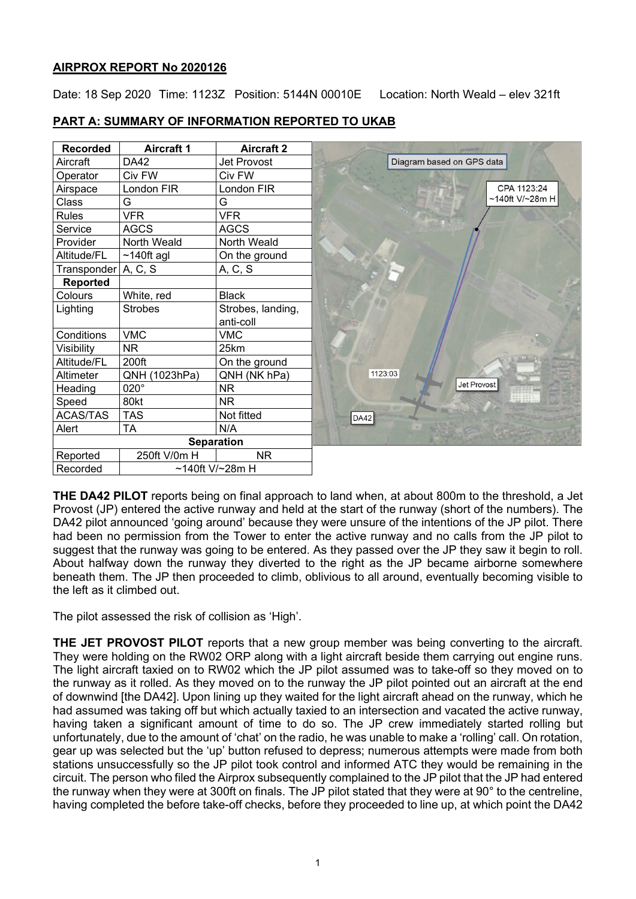## **AIRPROX REPORT No 2020126**

Date: 18 Sep 2020 Time: 1123Z Position: 5144N 00010E Location: North Weald - elev 321ft

| <b>Recorded</b>     | <b>Aircraft 1</b> | <b>Aircraft 2</b> |
|---------------------|-------------------|-------------------|
| Aircraft            | DA42              | Jet Provost       |
| Operator            | Civ FW            | Civ FW            |
| Airspace            | London FIR        | London FIR        |
| Class               | G                 | G                 |
| <b>Rules</b>        | <b>VFR</b>        | <b>VFR</b>        |
| Service             | <b>AGCS</b>       | <b>AGCS</b>       |
| Provider            | North Weald       | North Weald       |
| Altitude/FL         | $~140$ ft agl     | On the ground     |
| Transponder A, C, S |                   | A, C, S           |
| Reported            |                   |                   |
| Colours             | White, red        | <b>Black</b>      |
| Lighting            | <b>Strobes</b>    | Strobes, landing, |
|                     |                   | anti-coll         |
| Conditions          | <b>VMC</b>        | <b>VMC</b>        |
| Visibility          | NR.               | 25km              |
| Altitude/FL         | 200ft             | On the ground     |
| Altimeter           | QNH (1023hPa)     | QNH (NK hPa)      |
| Heading             | 020°              | <b>NR</b>         |
| Speed               | 80kt              | NR.               |
| <b>ACAS/TAS</b>     | <b>TAS</b>        | Not fitted        |
| Alert               | <b>TA</b>         | N/A               |
|                     |                   | <b>Separation</b> |
| Reported            | 250ft V/0m H      | <b>NR</b>         |
| Recorded            |                   | ~140ft V/~28m H   |

# **PART A: SUMMARY OF INFORMATION REPORTED TO UKAB**

**THE DA42 PILOT** reports being on final approach to land when, at about 800m to the threshold, a Jet Provost (JP) entered the active runway and held at the start of the runway (short of the numbers). The DA42 pilot announced 'going around' because they were unsure of the intentions of the JP pilot. There had been no permission from the Tower to enter the active runway and no calls from the JP pilot to suggest that the runway was going to be entered. As they passed over the JP they saw it begin to roll. About halfway down the runway they diverted to the right as the JP became airborne somewhere beneath them. The JP then proceeded to climb, oblivious to all around, eventually becoming visible to the left as it climbed out.

The pilot assessed the risk of collision as 'High'.

**THE JET PROVOST PILOT** reports that a new group member was being converting to the aircraft. They were holding on the RW02 ORP along with a light aircraft beside them carrying out engine runs. The light aircraft taxied on to RW02 which the JP pilot assumed was to take-off so they moved on to the runway as it rolled. As they moved on to the runway the JP pilot pointed out an aircraft at the end of downwind [the DA42]. Upon lining up they waited for the light aircraft ahead on the runway, which he had assumed was taking off but which actually taxied to an intersection and vacated the active runway, having taken a significant amount of time to do so. The JP crew immediately started rolling but unfortunately, due to the amount of 'chat' on the radio, he was unable to make a 'rolling' call. On rotation, gear up was selected but the 'up' button refused to depress; numerous attempts were made from both stations unsuccessfully so the JP pilot took control and informed ATC they would be remaining in the circuit. The person who filed the Airprox subsequently complained to the JP pilot that the JP had entered the runway when they were at 300ft on finals. The JP pilot stated that they were at 90° to the centreline, having completed the before take-off checks, before they proceeded to line up, at which point the DA42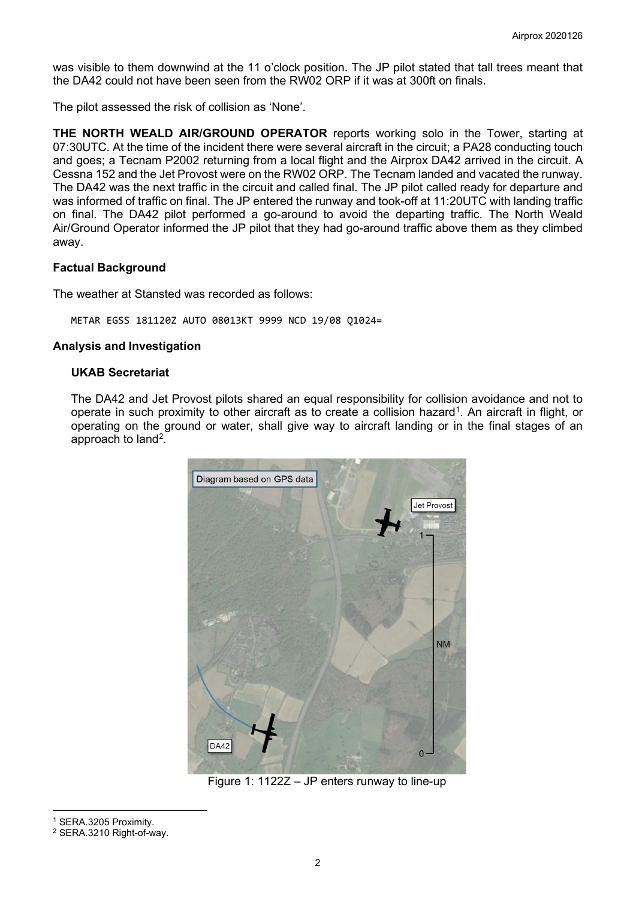was visible to them downwind at the 11 o'clock position. The JP pilot stated that tall trees meant that the DA42 could not have been seen from the RW02 ORP if it was at 300ft on finals.

The pilot assessed the risk of collision as 'None'.

**THE NORTH WEALD AIR/GROUND OPERATOR** reports working solo in the Tower, starting at 07:30UTC. At the time of the incident there were several aircraft in the circuit; a PA28 conducting touch and goes; a Tecnam P2002 returning from a local flight and the Airprox DA42 arrived in the circuit. A Cessna 152 and the Jet Provost were on the RW02 ORP. The Tecnam landed and vacated the runway. The DA42 was the next traffic in the circuit and called final. The JP pilot called ready for departure and was informed of traffic on final. The JP entered the runway and took-off at 11:20UTC with landing traffic on final. The DA42 pilot performed a go-around to avoid the departing traffic. The North Weald Air/Ground Operator informed the JP pilot that they had go-around traffic above them as they climbed away.

#### **Factual Background**

The weather at Stansted was recorded as follows:

METAR EGSS 181120Z AUTO 08013KT 9999 NCD 19/08 Q1024=

#### **Analysis and Investigation**

#### **UKAB Secretariat**

The DA42 and Jet Provost pilots shared an equal responsibility for collision avoidance and not to operate in such proximity to other aircraft as to create a collision hazard<sup>[1](#page-1-0)</sup>. An aircraft in flight, or operating on the ground or water, shall give way to aircraft landing or in the final stages of an approach to land<sup>[2](#page-1-1)</sup>.



Figure 1: 1122Z – JP enters runway to line-up

<span id="page-1-0"></span><sup>1</sup> SERA.3205 Proximity.

<span id="page-1-1"></span><sup>2</sup> SERA.3210 Right-of-way.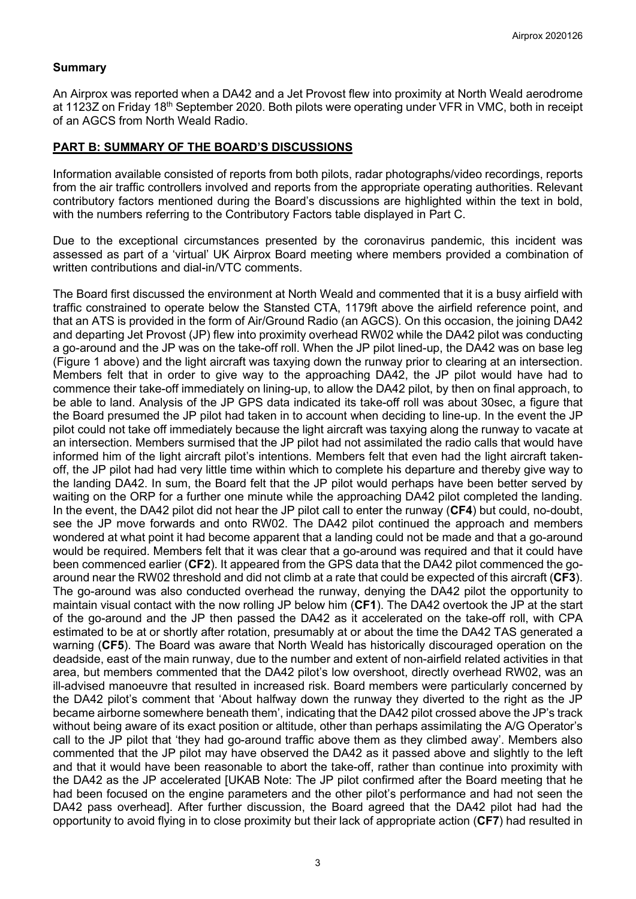#### **Summary**

An Airprox was reported when a DA42 and a Jet Provost flew into proximity at North Weald aerodrome at 1123Z on Friday 18<sup>th</sup> September 2020. Both pilots were operating under VFR in VMC, both in receipt of an AGCS from North Weald Radio.

#### **PART B: SUMMARY OF THE BOARD'S DISCUSSIONS**

Information available consisted of reports from both pilots, radar photographs/video recordings, reports from the air traffic controllers involved and reports from the appropriate operating authorities. Relevant contributory factors mentioned during the Board's discussions are highlighted within the text in bold, with the numbers referring to the Contributory Factors table displayed in Part C.

Due to the exceptional circumstances presented by the coronavirus pandemic, this incident was assessed as part of a 'virtual' UK Airprox Board meeting where members provided a combination of written contributions and dial-in/VTC comments.

The Board first discussed the environment at North Weald and commented that it is a busy airfield with traffic constrained to operate below the Stansted CTA, 1179ft above the airfield reference point, and that an ATS is provided in the form of Air/Ground Radio (an AGCS). On this occasion, the joining DA42 and departing Jet Provost (JP) flew into proximity overhead RW02 while the DA42 pilot was conducting a go-around and the JP was on the take-off roll. When the JP pilot lined-up, the DA42 was on base leg (Figure 1 above) and the light aircraft was taxying down the runway prior to clearing at an intersection. Members felt that in order to give way to the approaching DA42, the JP pilot would have had to commence their take-off immediately on lining-up, to allow the DA42 pilot, by then on final approach, to be able to land. Analysis of the JP GPS data indicated its take-off roll was about 30sec, a figure that the Board presumed the JP pilot had taken in to account when deciding to line-up. In the event the JP pilot could not take off immediately because the light aircraft was taxying along the runway to vacate at an intersection. Members surmised that the JP pilot had not assimilated the radio calls that would have informed him of the light aircraft pilot's intentions. Members felt that even had the light aircraft takenoff, the JP pilot had had very little time within which to complete his departure and thereby give way to the landing DA42. In sum, the Board felt that the JP pilot would perhaps have been better served by waiting on the ORP for a further one minute while the approaching DA42 pilot completed the landing. In the event, the DA42 pilot did not hear the JP pilot call to enter the runway (**CF4**) but could, no-doubt, see the JP move forwards and onto RW02. The DA42 pilot continued the approach and members wondered at what point it had become apparent that a landing could not be made and that a go-around would be required. Members felt that it was clear that a go-around was required and that it could have been commenced earlier (**CF2**). It appeared from the GPS data that the DA42 pilot commenced the goaround near the RW02 threshold and did not climb at a rate that could be expected of this aircraft (**CF3**). The go-around was also conducted overhead the runway, denying the DA42 pilot the opportunity to maintain visual contact with the now rolling JP below him (**CF1**). The DA42 overtook the JP at the start of the go-around and the JP then passed the DA42 as it accelerated on the take-off roll, with CPA estimated to be at or shortly after rotation, presumably at or about the time the DA42 TAS generated a warning (**CF5**). The Board was aware that North Weald has historically discouraged operation on the deadside, east of the main runway, due to the number and extent of non-airfield related activities in that area, but members commented that the DA42 pilot's low overshoot, directly overhead RW02, was an ill-advised manoeuvre that resulted in increased risk. Board members were particularly concerned by the DA42 pilot's comment that 'About halfway down the runway they diverted to the right as the JP became airborne somewhere beneath them', indicating that the DA42 pilot crossed above the JP's track without being aware of its exact position or altitude, other than perhaps assimilating the A/G Operator's call to the JP pilot that 'they had go-around traffic above them as they climbed away'. Members also commented that the JP pilot may have observed the DA42 as it passed above and slightly to the left and that it would have been reasonable to abort the take-off, rather than continue into proximity with the DA42 as the JP accelerated [UKAB Note: The JP pilot confirmed after the Board meeting that he had been focused on the engine parameters and the other pilot's performance and had not seen the DA42 pass overhead]. After further discussion, the Board agreed that the DA42 pilot had had the opportunity to avoid flying in to close proximity but their lack of appropriate action (**CF7**) had resulted in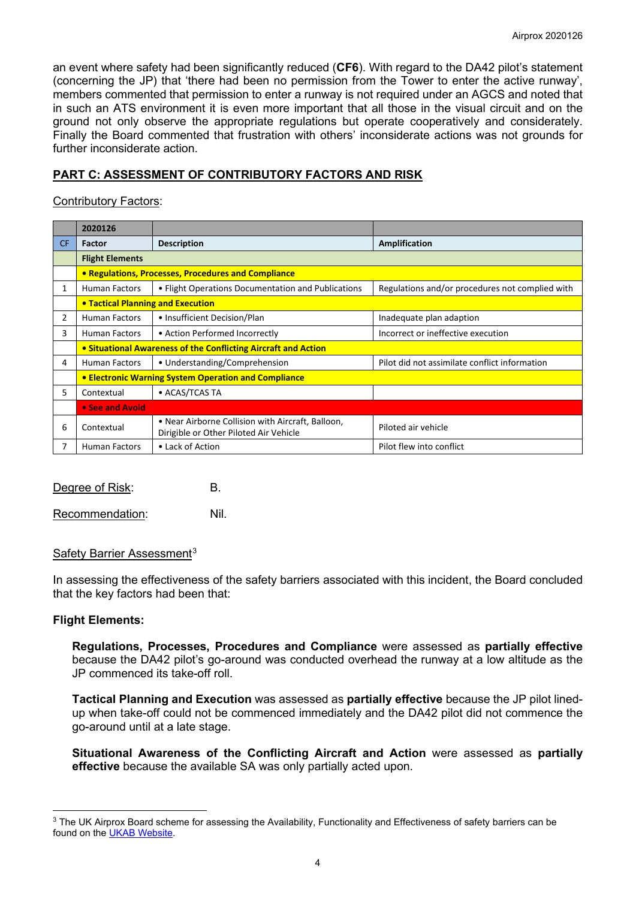an event where safety had been significantly reduced (**CF6**). With regard to the DA42 pilot's statement (concerning the JP) that 'there had been no permission from the Tower to enter the active runway', members commented that permission to enter a runway is not required under an AGCS and noted that in such an ATS environment it is even more important that all those in the visual circuit and on the ground not only observe the appropriate regulations but operate cooperatively and considerately. Finally the Board commented that frustration with others' inconsiderate actions was not grounds for further inconsiderate action.

# **PART C: ASSESSMENT OF CONTRIBUTORY FACTORS AND RISK**

## Contributory Factors:

|     | 2020126                                                        |                                                                                             |                                                 |  |  |  |  |  |  |
|-----|----------------------------------------------------------------|---------------------------------------------------------------------------------------------|-------------------------------------------------|--|--|--|--|--|--|
| CF. | Factor                                                         | <b>Description</b>                                                                          | Amplification                                   |  |  |  |  |  |  |
|     | <b>Flight Elements</b>                                         |                                                                                             |                                                 |  |  |  |  |  |  |
|     | • Regulations, Processes, Procedures and Compliance            |                                                                                             |                                                 |  |  |  |  |  |  |
| 1   | <b>Human Factors</b>                                           | • Flight Operations Documentation and Publications                                          | Regulations and/or procedures not complied with |  |  |  |  |  |  |
|     | • Tactical Planning and Execution                              |                                                                                             |                                                 |  |  |  |  |  |  |
| 2   | <b>Human Factors</b>                                           | • Insufficient Decision/Plan                                                                | Inadequate plan adaption                        |  |  |  |  |  |  |
| 3   | <b>Human Factors</b>                                           | • Action Performed Incorrectly                                                              | Incorrect or ineffective execution              |  |  |  |  |  |  |
|     | • Situational Awareness of the Conflicting Aircraft and Action |                                                                                             |                                                 |  |  |  |  |  |  |
| 4   | <b>Human Factors</b>                                           | • Understanding/Comprehension                                                               | Pilot did not assimilate conflict information   |  |  |  |  |  |  |
|     | <b>• Electronic Warning System Operation and Compliance</b>    |                                                                                             |                                                 |  |  |  |  |  |  |
| 5.  | Contextual                                                     | • ACAS/TCAS TA                                                                              |                                                 |  |  |  |  |  |  |
|     | • See and Avoid                                                |                                                                                             |                                                 |  |  |  |  |  |  |
| 6   | Contextual                                                     | • Near Airborne Collision with Aircraft, Balloon,<br>Dirigible or Other Piloted Air Vehicle | Piloted air vehicle                             |  |  |  |  |  |  |
|     | • Lack of Action<br><b>Human Factors</b>                       |                                                                                             | Pilot flew into conflict                        |  |  |  |  |  |  |

| Degree of Risk: |  |
|-----------------|--|
|                 |  |

Recommendation: Nil.

## Safety Barrier Assessment<sup>[3](#page-3-0)</sup>

In assessing the effectiveness of the safety barriers associated with this incident, the Board concluded that the key factors had been that:

## **Flight Elements:**

**Regulations, Processes, Procedures and Compliance** were assessed as **partially effective** because the DA42 pilot's go-around was conducted overhead the runway at a low altitude as the JP commenced its take-off roll.

**Tactical Planning and Execution** was assessed as **partially effective** because the JP pilot linedup when take-off could not be commenced immediately and the DA42 pilot did not commence the go-around until at a late stage.

**Situational Awareness of the Conflicting Aircraft and Action** were assessed as **partially effective** because the available SA was only partially acted upon.

<span id="page-3-0"></span><sup>&</sup>lt;sup>3</sup> The UK Airprox Board scheme for assessing the Availability, Functionality and Effectiveness of safety barriers can be found on the [UKAB Website.](http://www.airproxboard.org.uk/Learn-more/Airprox-Barrier-Assessment/)